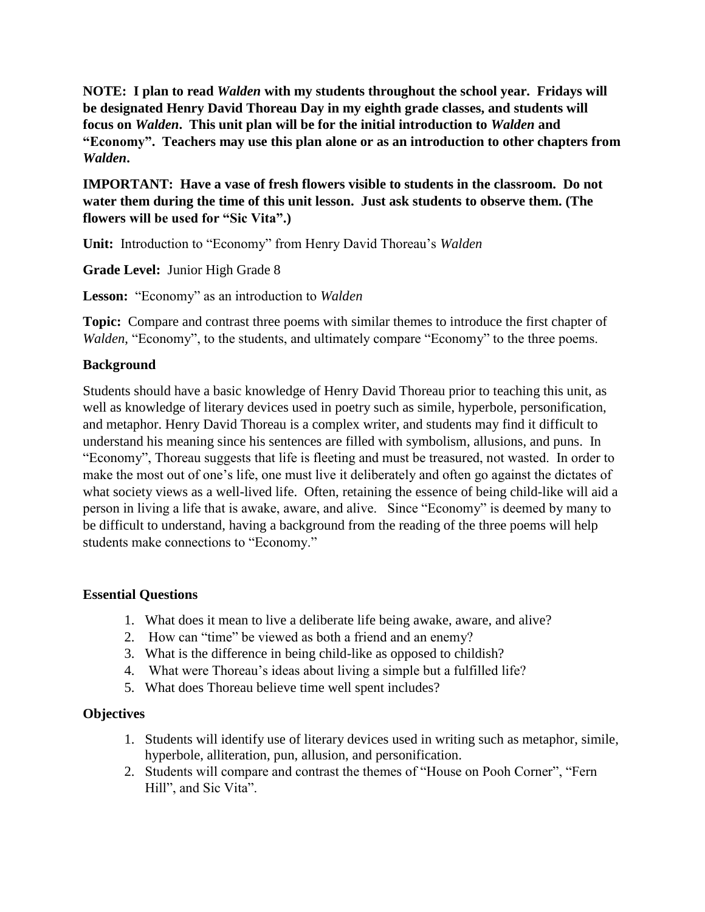**NOTE: I plan to read** *Walden* **with my students throughout the school year. Fridays will be designated Henry David Thoreau Day in my eighth grade classes, and students will focus on** *Walden***. This unit plan will be for the initial introduction to** *Walden* **and "Economy". Teachers may use this plan alone or as an introduction to other chapters from**  *Walden***.**

**IMPORTANT: Have a vase of fresh flowers visible to students in the classroom. Do not water them during the time of this unit lesson. Just ask students to observe them. (The flowers will be used for "Sic Vita".)**

**Unit:** Introduction to "Economy" from Henry David Thoreau's *Walden* 

**Grade Level:** Junior High Grade 8

**Lesson:** "Economy" as an introduction to *Walden*

**Topic:** Compare and contrast three poems with similar themes to introduce the first chapter of *Walden*, "Economy", to the students, and ultimately compare "Economy" to the three poems.

## **Background**

Students should have a basic knowledge of Henry David Thoreau prior to teaching this unit, as well as knowledge of literary devices used in poetry such as simile, hyperbole, personification, and metaphor. Henry David Thoreau is a complex writer, and students may find it difficult to understand his meaning since his sentences are filled with symbolism, allusions, and puns. In "Economy", Thoreau suggests that life is fleeting and must be treasured, not wasted. In order to make the most out of one's life, one must live it deliberately and often go against the dictates of what society views as a well-lived life. Often, retaining the essence of being child-like will aid a person in living a life that is awake, aware, and alive. Since "Economy" is deemed by many to be difficult to understand, having a background from the reading of the three poems will help students make connections to "Economy."

#### **Essential Questions**

- 1. What does it mean to live a deliberate life being awake, aware, and alive?
- 2. How can "time" be viewed as both a friend and an enemy?
- 3. What is the difference in being child-like as opposed to childish?
- 4. What were Thoreau's ideas about living a simple but a fulfilled life?
- 5. What does Thoreau believe time well spent includes?

#### **Objectives**

- 1. Students will identify use of literary devices used in writing such as metaphor, simile, hyperbole, alliteration, pun, allusion, and personification.
- 2. Students will compare and contrast the themes of "House on Pooh Corner", "Fern Hill", and Sic Vita".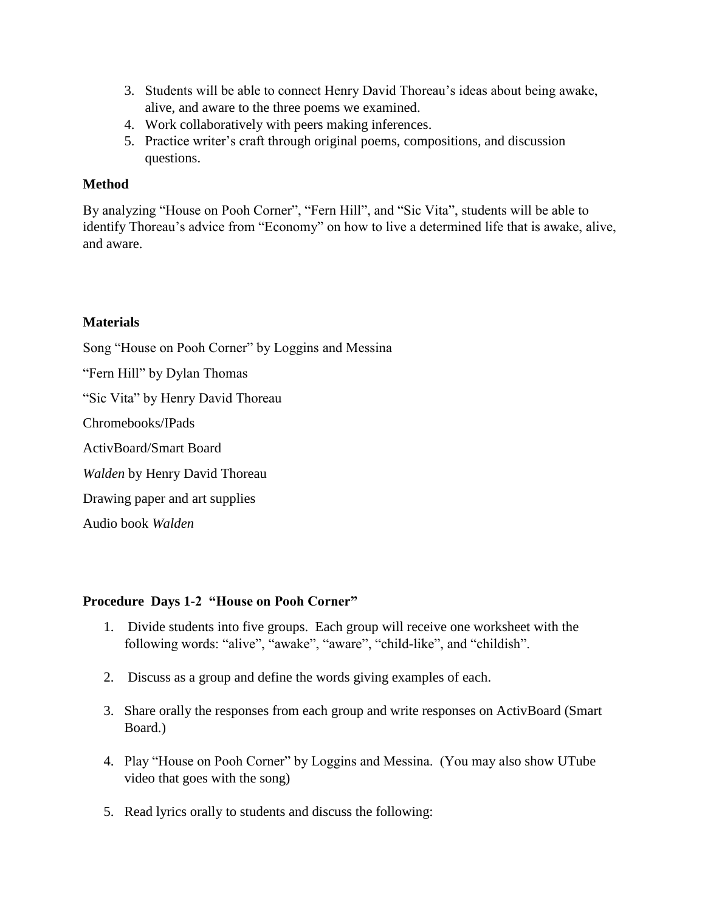- 3. Students will be able to connect Henry David Thoreau's ideas about being awake, alive, and aware to the three poems we examined.
- 4. Work collaboratively with peers making inferences.
- 5. Practice writer's craft through original poems, compositions, and discussion questions.

## **Method**

By analyzing "House on Pooh Corner", "Fern Hill", and "Sic Vita", students will be able to identify Thoreau's advice from "Economy" on how to live a determined life that is awake, alive, and aware.

## **Materials**

Song "House on Pooh Corner" by Loggins and Messina

"Fern Hill" by Dylan Thomas

"Sic Vita" by Henry David Thoreau

Chromebooks/IPads

ActivBoard/Smart Board

*Walden* by Henry David Thoreau

Drawing paper and art supplies

Audio book *Walden*

## **Procedure Days 1-2 "House on Pooh Corner"**

- 1. Divide students into five groups. Each group will receive one worksheet with the following words: "alive", "awake", "aware", "child-like", and "childish".
- 2. Discuss as a group and define the words giving examples of each.
- 3. Share orally the responses from each group and write responses on ActivBoard (Smart Board.)
- 4. Play "House on Pooh Corner" by Loggins and Messina. (You may also show UTube video that goes with the song)
- 5. Read lyrics orally to students and discuss the following: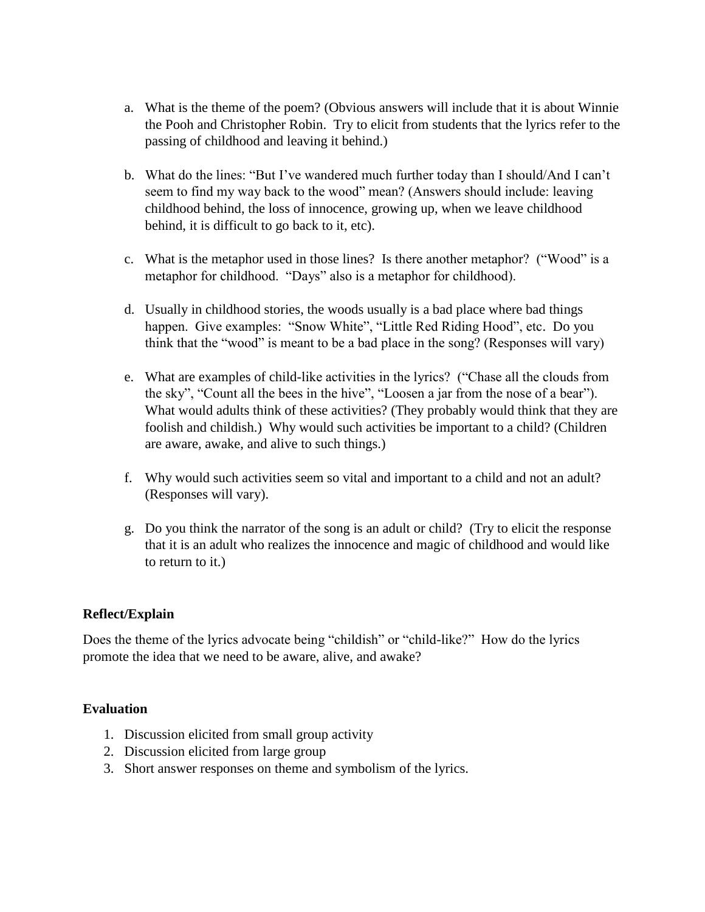- a. What is the theme of the poem? (Obvious answers will include that it is about Winnie the Pooh and Christopher Robin. Try to elicit from students that the lyrics refer to the passing of childhood and leaving it behind.)
- b. What do the lines: "But I've wandered much further today than I should/And I can't seem to find my way back to the wood" mean? (Answers should include: leaving childhood behind, the loss of innocence, growing up, when we leave childhood behind, it is difficult to go back to it, etc).
- c. What is the metaphor used in those lines? Is there another metaphor? ("Wood" is a metaphor for childhood. "Days" also is a metaphor for childhood).
- d. Usually in childhood stories, the woods usually is a bad place where bad things happen. Give examples: "Snow White", "Little Red Riding Hood", etc. Do you think that the "wood" is meant to be a bad place in the song? (Responses will vary)
- e. What are examples of child-like activities in the lyrics? ("Chase all the clouds from the sky", "Count all the bees in the hive", "Loosen a jar from the nose of a bear"). What would adults think of these activities? (They probably would think that they are foolish and childish.) Why would such activities be important to a child? (Children are aware, awake, and alive to such things.)
- f. Why would such activities seem so vital and important to a child and not an adult? (Responses will vary).
- g. Do you think the narrator of the song is an adult or child? (Try to elicit the response that it is an adult who realizes the innocence and magic of childhood and would like to return to it.)

## **Reflect/Explain**

Does the theme of the lyrics advocate being "childish" or "child-like?" How do the lyrics promote the idea that we need to be aware, alive, and awake?

## **Evaluation**

- 1. Discussion elicited from small group activity
- 2. Discussion elicited from large group
- 3. Short answer responses on theme and symbolism of the lyrics.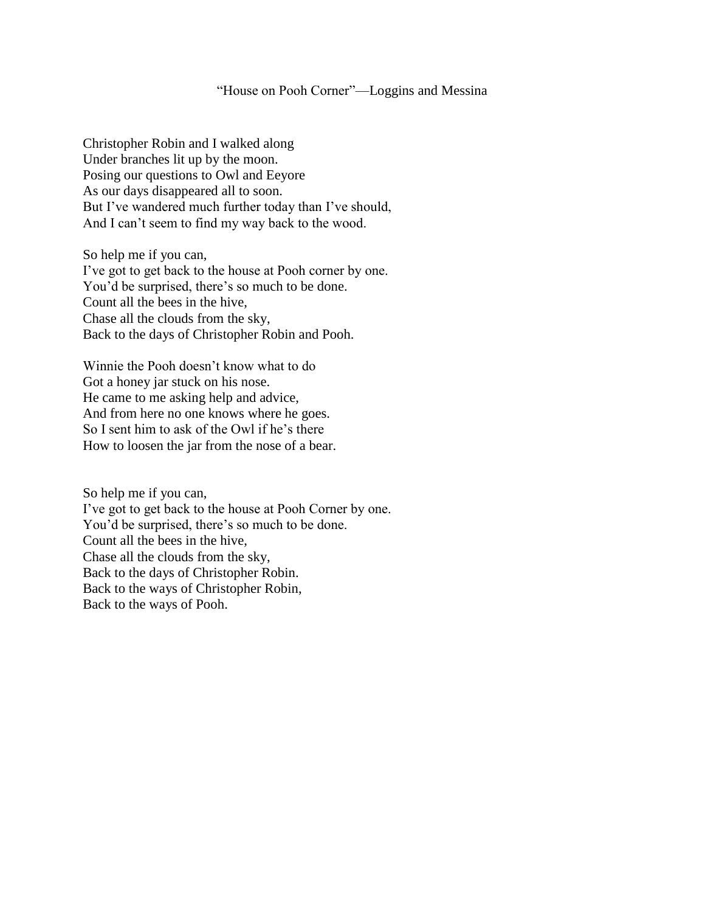#### "House on Pooh Corner"—Loggins and Messina

Christopher Robin and I walked along Under branches lit up by the moon. Posing our questions to Owl and Eeyore As our days disappeared all to soon. But I've wandered much further today than I've should, And I can't seem to find my way back to the wood.

So help me if you can, I've got to get back to the house at Pooh corner by one. You'd be surprised, there's so much to be done. Count all the bees in the hive, Chase all the clouds from the sky, Back to the days of Christopher Robin and Pooh.

Winnie the Pooh doesn't know what to do Got a honey jar stuck on his nose. He came to me asking help and advice, And from here no one knows where he goes. So I sent him to ask of the Owl if he's there How to loosen the jar from the nose of a bear.

So help me if you can, I've got to get back to the house at Pooh Corner by one. You'd be surprised, there's so much to be done. Count all the bees in the hive, Chase all the clouds from the sky, Back to the days of Christopher Robin. Back to the ways of Christopher Robin, Back to the ways of Pooh.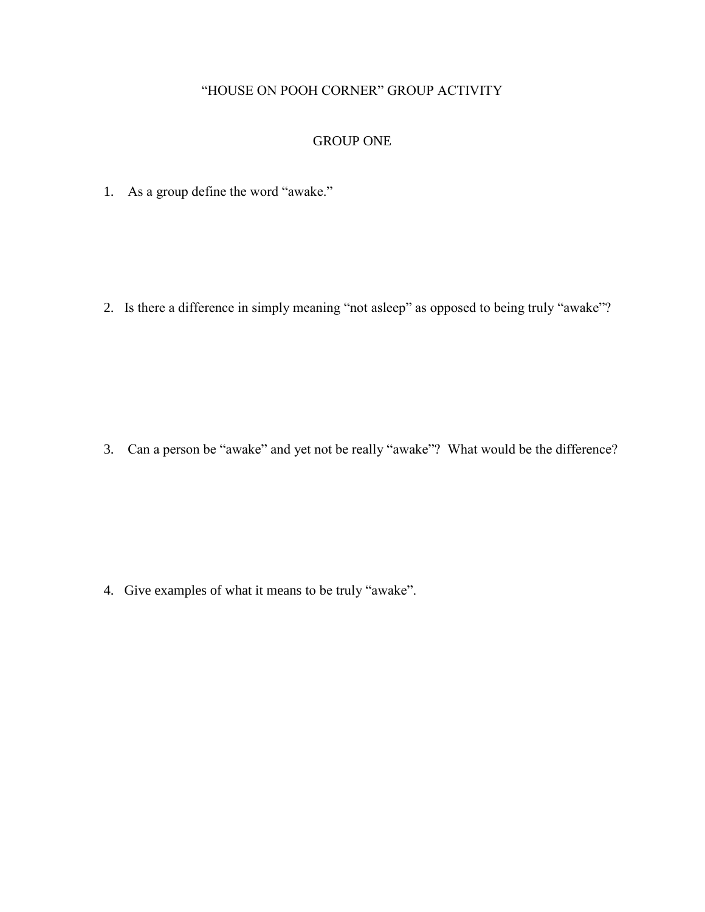## "HOUSE ON POOH CORNER" GROUP ACTIVITY

#### GROUP ONE

1. As a group define the word "awake."

2. Is there a difference in simply meaning "not asleep" as opposed to being truly "awake"?

3. Can a person be "awake" and yet not be really "awake"? What would be the difference?

4. Give examples of what it means to be truly "awake".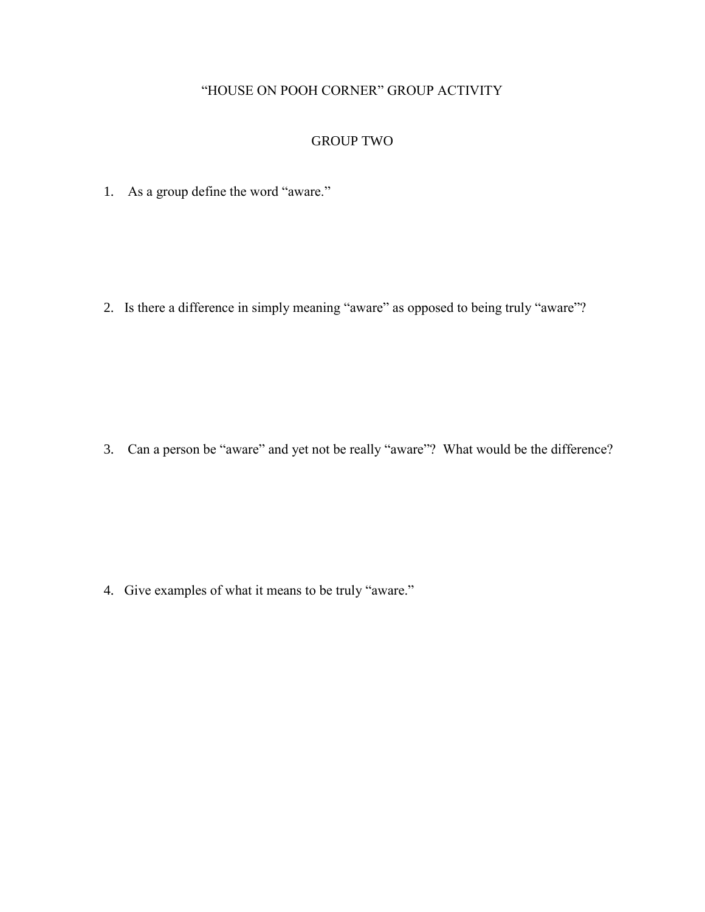## "HOUSE ON POOH CORNER" GROUP ACTIVITY

## GROUP TWO

1. As a group define the word "aware."

2. Is there a difference in simply meaning "aware" as opposed to being truly "aware"?

3. Can a person be "aware" and yet not be really "aware"? What would be the difference?

4. Give examples of what it means to be truly "aware."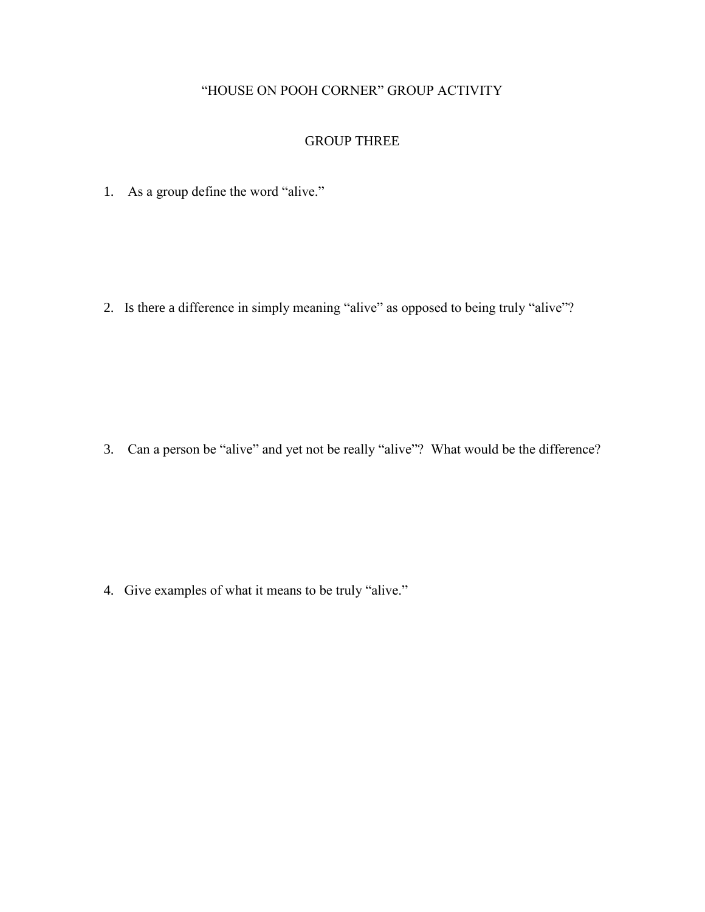## "HOUSE ON POOH CORNER" GROUP ACTIVITY

## GROUP THREE

1. As a group define the word "alive."

2. Is there a difference in simply meaning "alive" as opposed to being truly "alive"?

3. Can a person be "alive" and yet not be really "alive"? What would be the difference?

4. Give examples of what it means to be truly "alive."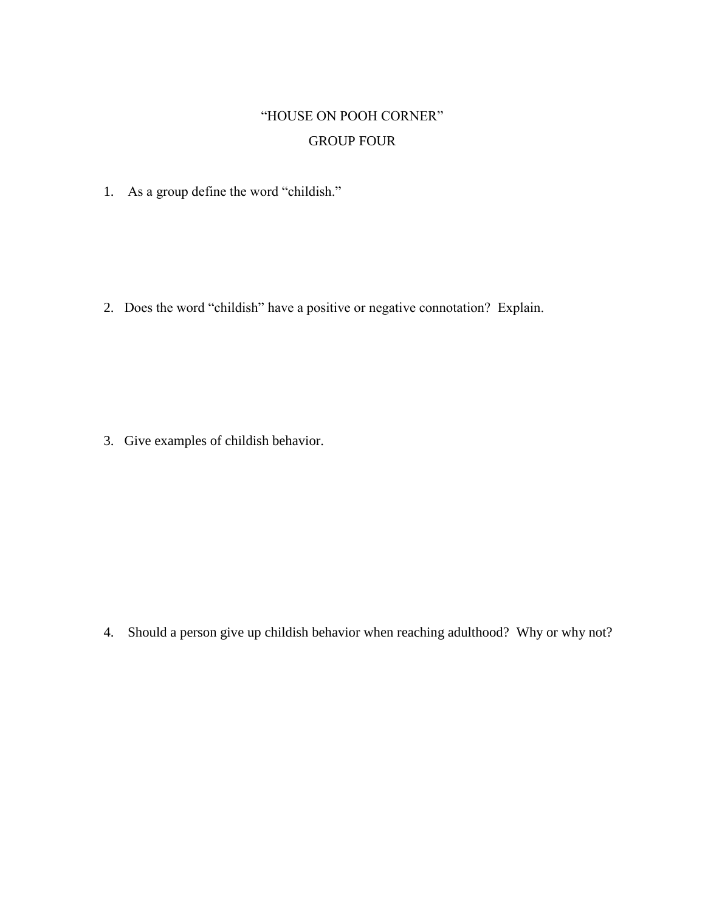# "HOUSE ON POOH CORNER" GROUP FOUR

1. As a group define the word "childish."

2. Does the word "childish" have a positive or negative connotation? Explain.

3. Give examples of childish behavior.

4. Should a person give up childish behavior when reaching adulthood? Why or why not?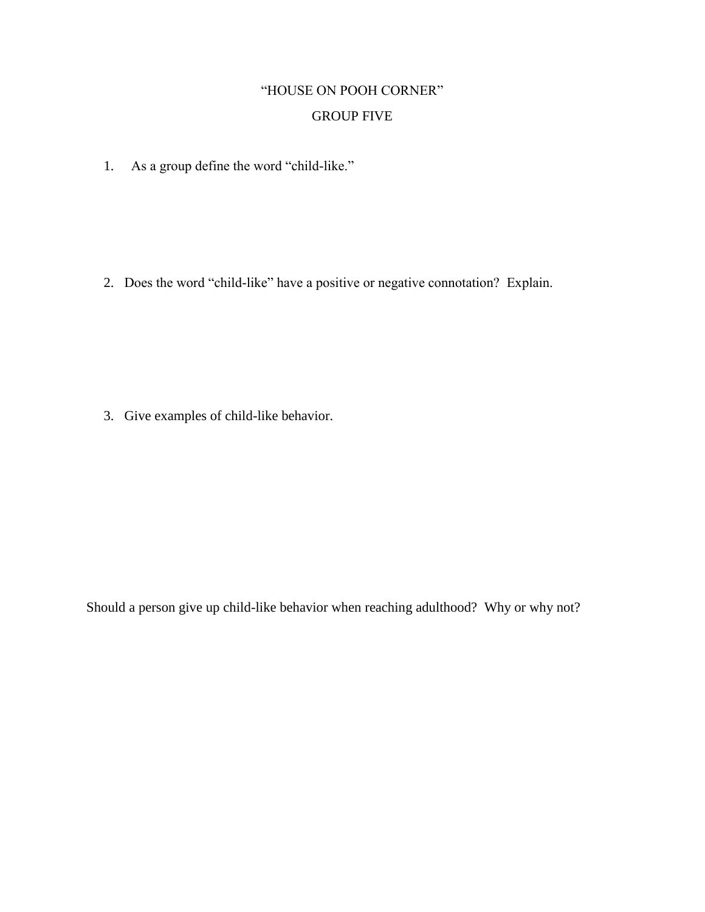# "HOUSE ON POOH CORNER"

# GROUP FIVE

1. As a group define the word "child-like."

2. Does the word "child-like" have a positive or negative connotation? Explain.

3. Give examples of child-like behavior.

Should a person give up child-like behavior when reaching adulthood? Why or why not?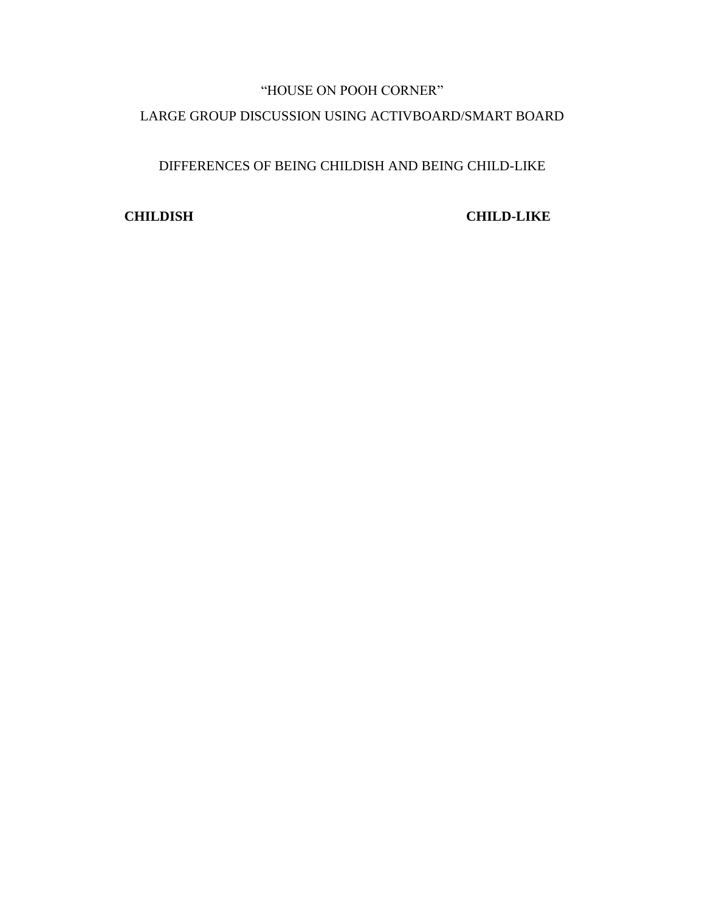## "HOUSE ON POOH CORNER"

# LARGE GROUP DISCUSSION USING ACTIVBOARD/SMART BOARD

DIFFERENCES OF BEING CHILDISH AND BEING CHILD-LIKE

 **CHILDISH CHILD-LIKE**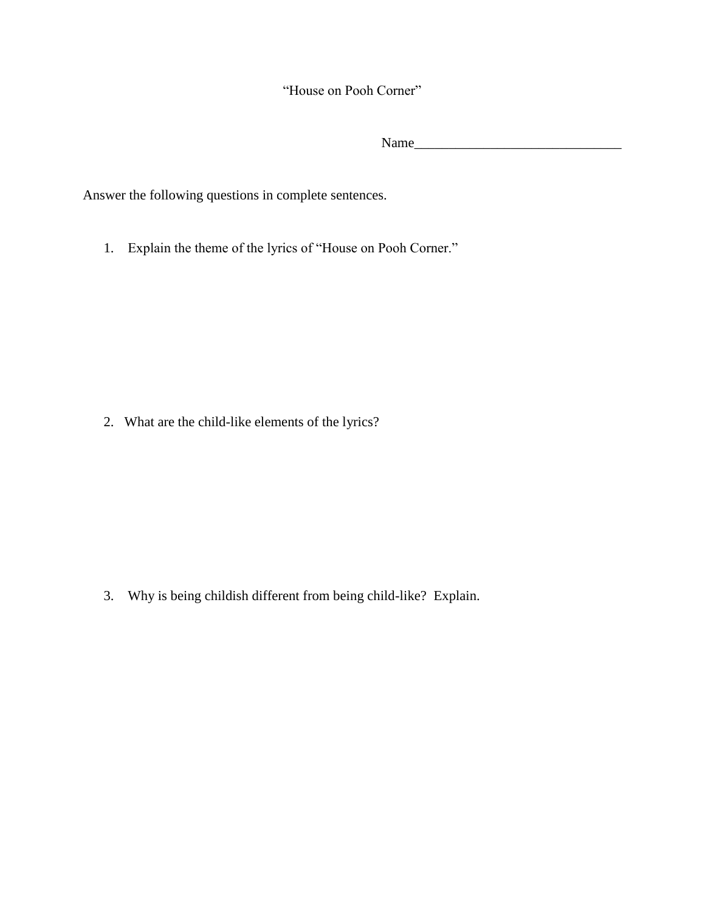"House on Pooh Corner"

Name\_\_\_\_\_\_\_\_\_\_\_\_\_\_\_\_\_\_\_\_\_\_\_\_\_\_\_\_\_\_

Answer the following questions in complete sentences.

1. Explain the theme of the lyrics of "House on Pooh Corner."

2. What are the child-like elements of the lyrics?

3. Why is being childish different from being child-like? Explain.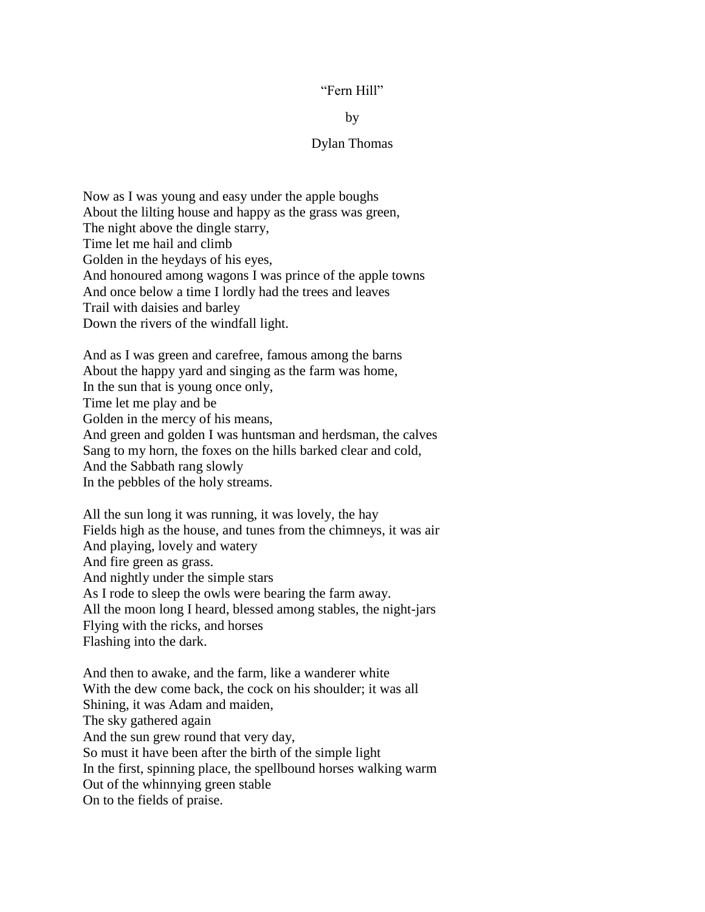#### "Fern Hill"

#### by

#### Dylan Thomas

Now as I was young and easy under the apple boughs About the lilting house and happy as the grass was green, The night above the dingle starry, Time let me hail and climb Golden in the heydays of his eyes, And honoured among wagons I was prince of the apple towns And once below a time I lordly had the trees and leaves Trail with daisies and barley Down the rivers of the windfall light.

And as I was green and carefree, famous among the barns About the happy yard and singing as the farm was home, In the sun that is young once only, Time let me play and be Golden in the mercy of his means, And green and golden I was huntsman and herdsman, the calves Sang to my horn, the foxes on the hills barked clear and cold, And the Sabbath rang slowly In the pebbles of the holy streams.

All the sun long it was running, it was lovely, the hay Fields high as the house, and tunes from the chimneys, it was air And playing, lovely and watery And fire green as grass. And nightly under the simple stars As I rode to sleep the owls were bearing the farm away. All the moon long I heard, blessed among stables, the night-jars Flying with the ricks, and horses Flashing into the dark.

And then to awake, and the farm, like a wanderer white With the dew come back, the cock on his shoulder; it was all Shining, it was Adam and maiden, The sky gathered again And the sun grew round that very day, So must it have been after the birth of the simple light In the first, spinning place, the spellbound horses walking warm Out of the whinnying green stable On to the fields of praise.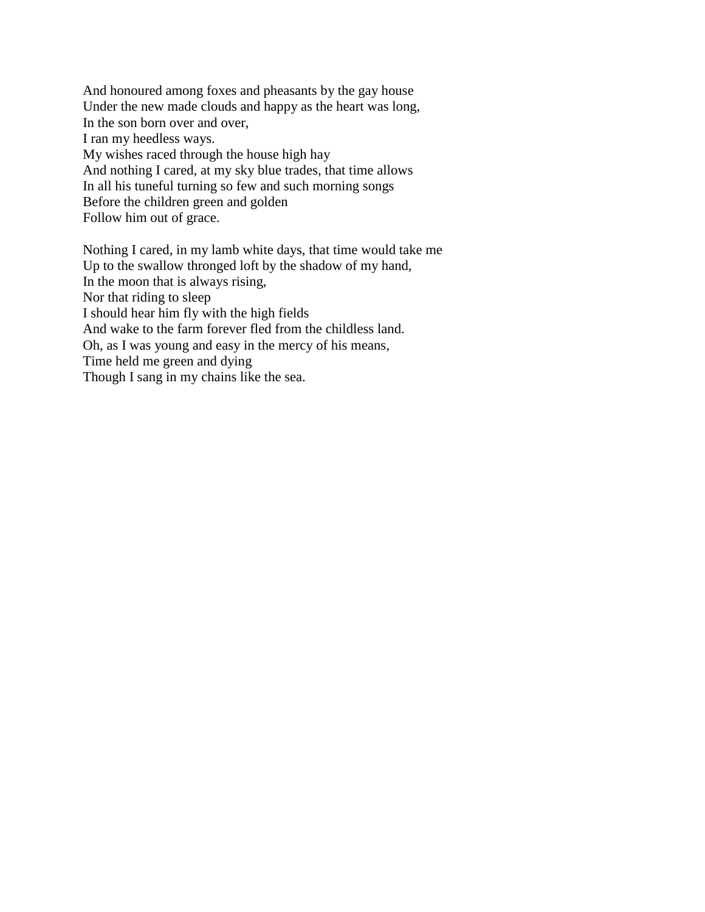And honoured among foxes and pheasants by the gay house Under the new made clouds and happy as the heart was long, In the son born over and over, I ran my heedless ways. My wishes raced through the house high hay And nothing I cared, at my sky blue trades, that time allows In all his tuneful turning so few and such morning songs Before the children green and golden Follow him out of grace.

Nothing I cared, in my lamb white days, that time would take me Up to the swallow thronged loft by the shadow of my hand, In the moon that is always rising, Nor that riding to sleep I should hear him fly with the high fields And wake to the farm forever fled from the childless land. Oh, as I was young and easy in the mercy of his means, Time held me green and dying Though I sang in my chains like the sea.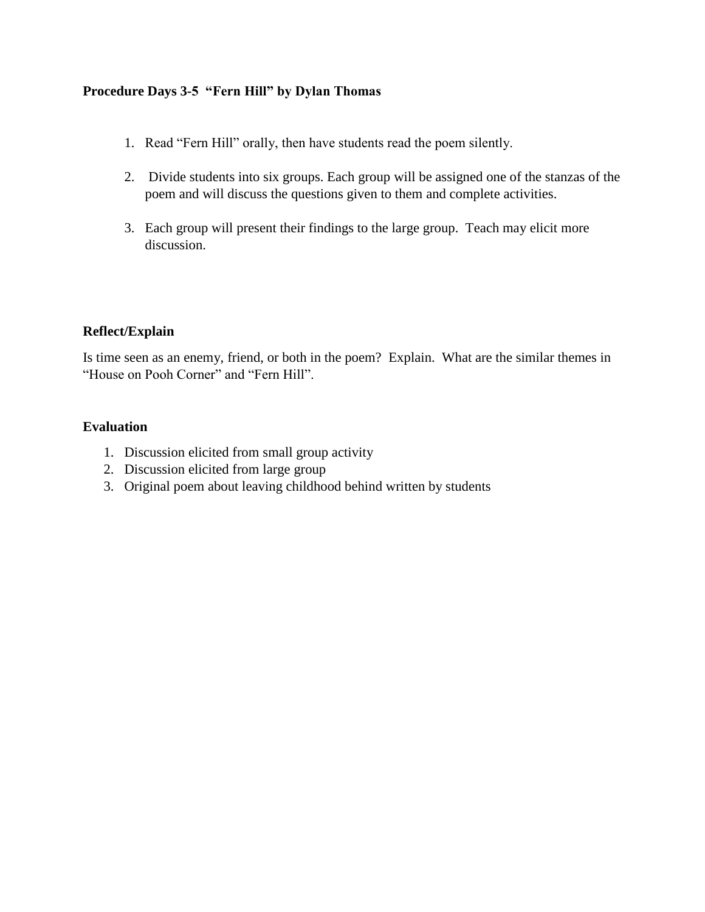## **Procedure Days 3-5 "Fern Hill" by Dylan Thomas**

- 1. Read "Fern Hill" orally, then have students read the poem silently.
- 2. Divide students into six groups. Each group will be assigned one of the stanzas of the poem and will discuss the questions given to them and complete activities.
- 3. Each group will present their findings to the large group. Teach may elicit more discussion.

#### **Reflect/Explain**

Is time seen as an enemy, friend, or both in the poem? Explain. What are the similar themes in "House on Pooh Corner" and "Fern Hill".

#### **Evaluation**

- 1. Discussion elicited from small group activity
- 2. Discussion elicited from large group
- 3. Original poem about leaving childhood behind written by students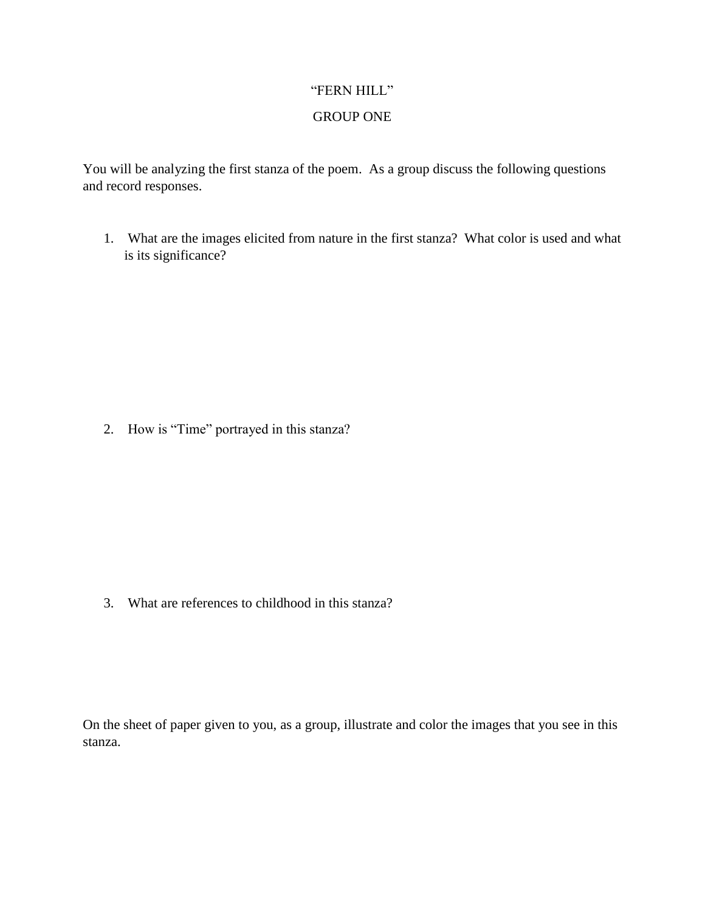#### GROUP ONE

You will be analyzing the first stanza of the poem. As a group discuss the following questions and record responses.

1. What are the images elicited from nature in the first stanza? What color is used and what is its significance?

2. How is "Time" portrayed in this stanza?

3. What are references to childhood in this stanza?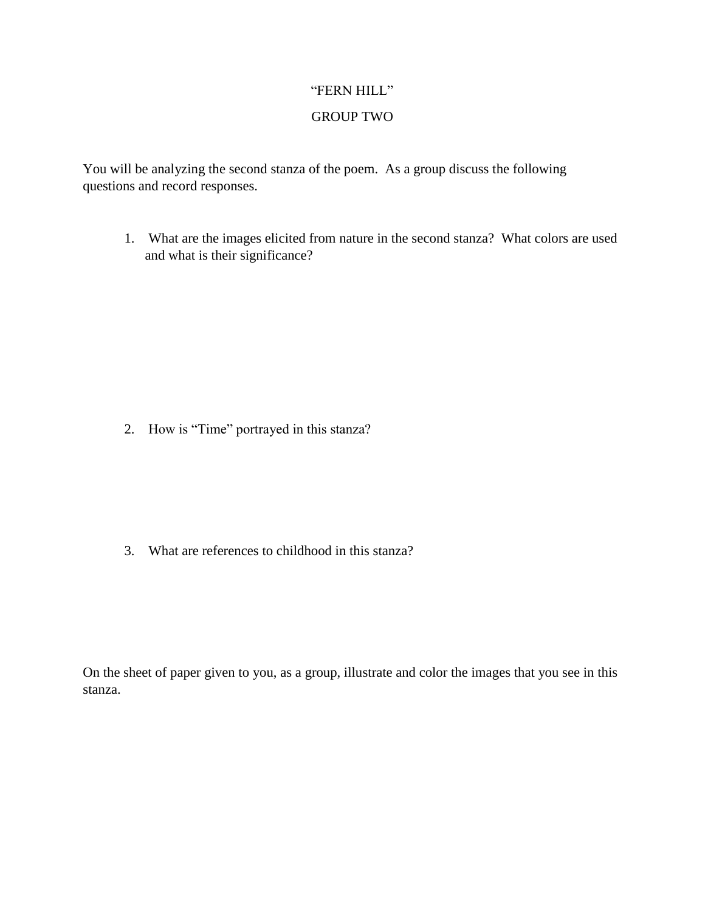#### GROUP TWO

You will be analyzing the second stanza of the poem. As a group discuss the following questions and record responses.

1. What are the images elicited from nature in the second stanza? What colors are used and what is their significance?

2. How is "Time" portrayed in this stanza?

3. What are references to childhood in this stanza?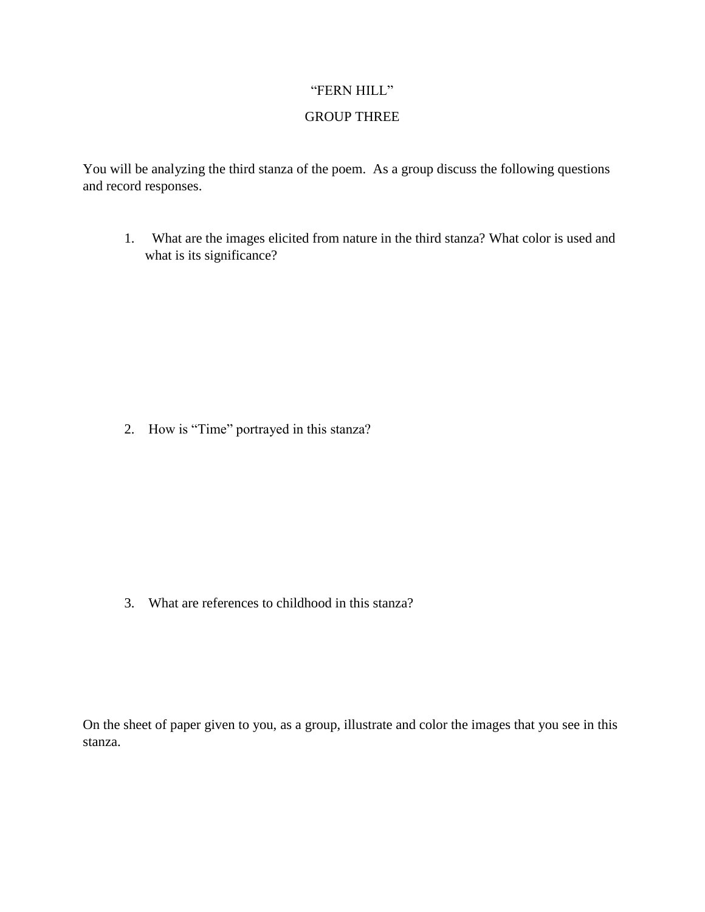#### GROUP THREE

You will be analyzing the third stanza of the poem. As a group discuss the following questions and record responses.

1. What are the images elicited from nature in the third stanza? What color is used and what is its significance?

2. How is "Time" portrayed in this stanza?

3. What are references to childhood in this stanza?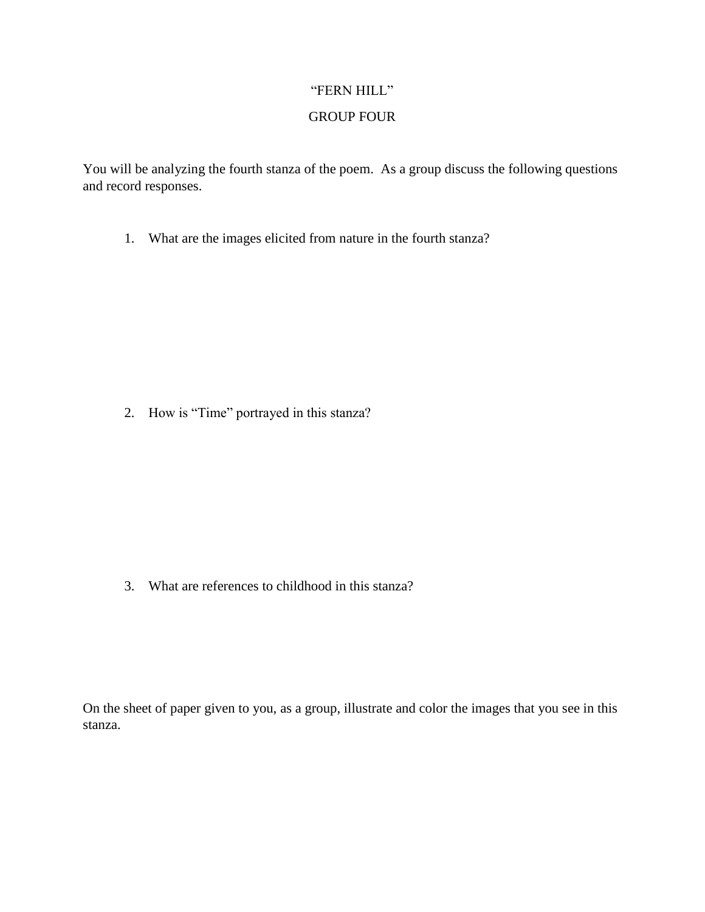#### GROUP FOUR

You will be analyzing the fourth stanza of the poem. As a group discuss the following questions and record responses.

1. What are the images elicited from nature in the fourth stanza?

2. How is "Time" portrayed in this stanza?

3. What are references to childhood in this stanza?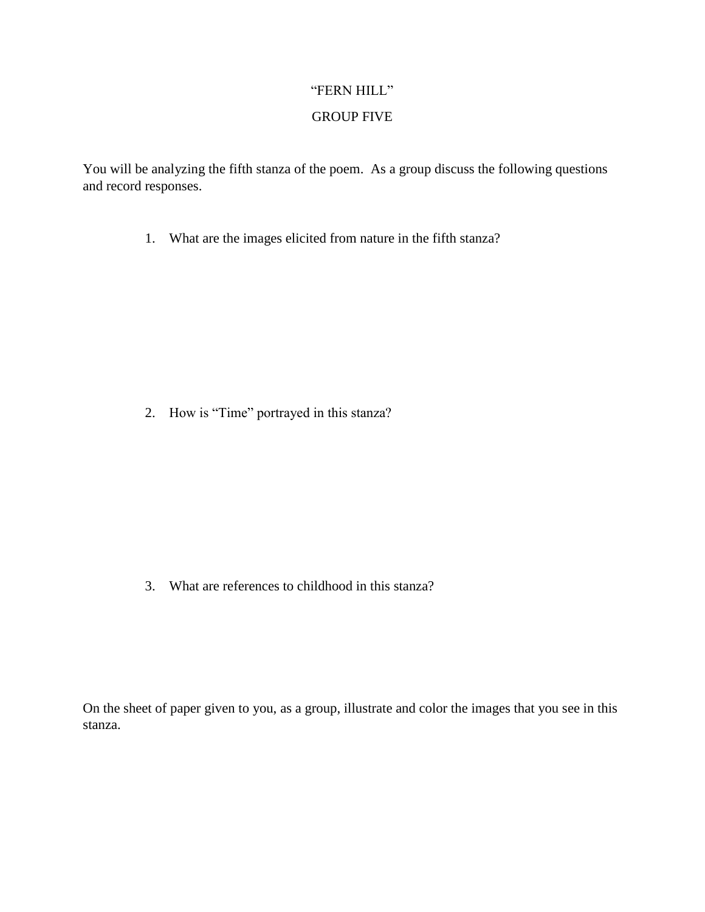#### GROUP FIVE

You will be analyzing the fifth stanza of the poem. As a group discuss the following questions and record responses.

1. What are the images elicited from nature in the fifth stanza?

2. How is "Time" portrayed in this stanza?

3. What are references to childhood in this stanza?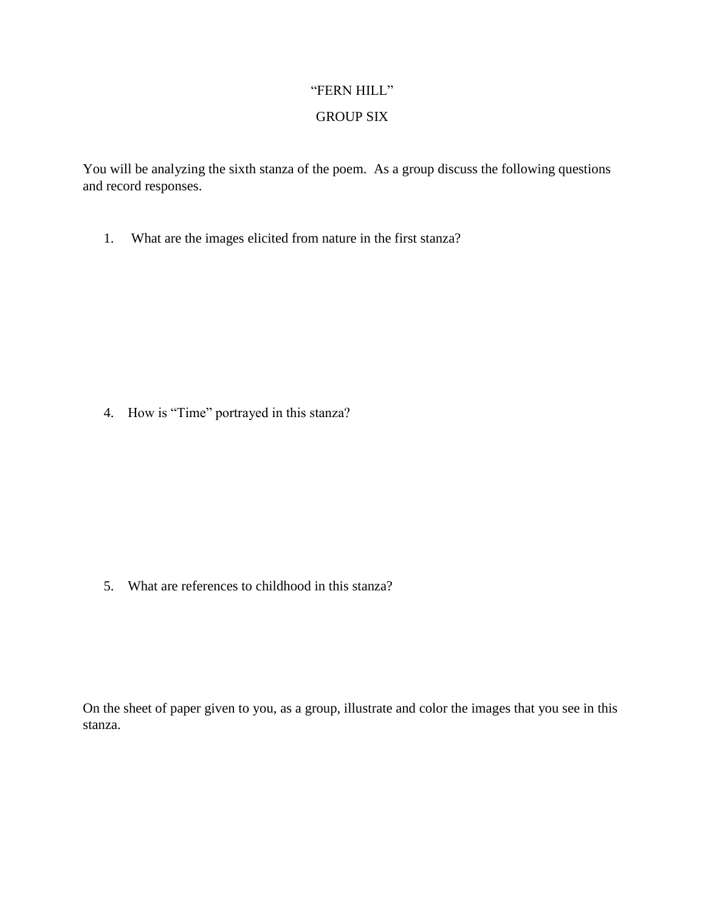#### GROUP SIX

You will be analyzing the sixth stanza of the poem. As a group discuss the following questions and record responses.

1. What are the images elicited from nature in the first stanza?

4. How is "Time" portrayed in this stanza?

5. What are references to childhood in this stanza?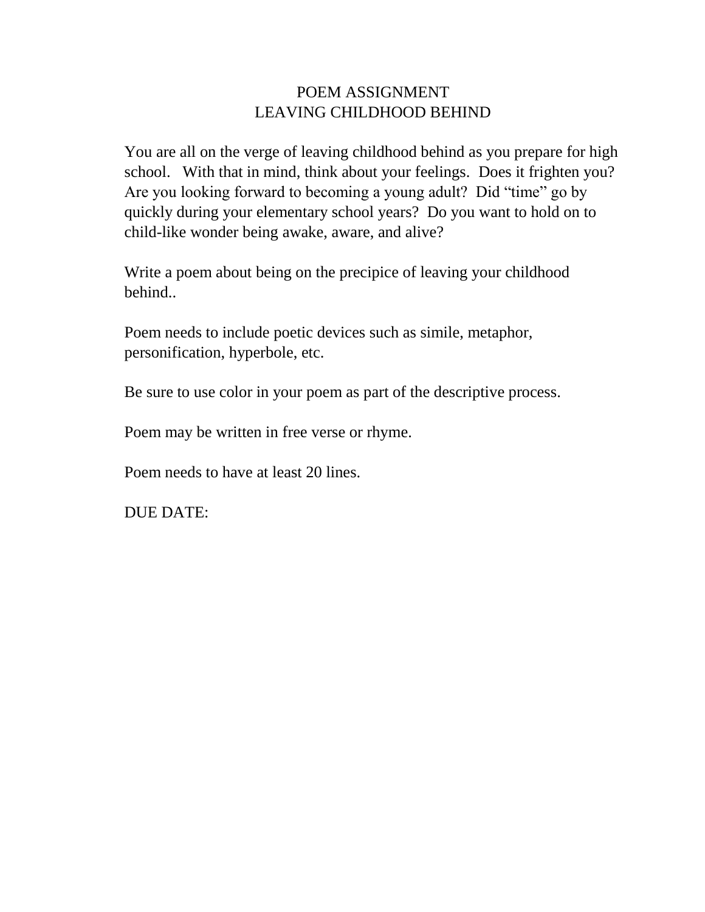# POEM ASSIGNMENT LEAVING CHILDHOOD BEHIND

You are all on the verge of leaving childhood behind as you prepare for high school. With that in mind, think about your feelings. Does it frighten you? Are you looking forward to becoming a young adult? Did "time" go by quickly during your elementary school years? Do you want to hold on to child-like wonder being awake, aware, and alive?

Write a poem about being on the precipice of leaving your childhood behind..

Poem needs to include poetic devices such as simile, metaphor, personification, hyperbole, etc.

Be sure to use color in your poem as part of the descriptive process.

Poem may be written in free verse or rhyme.

Poem needs to have at least 20 lines.

DUE DATE: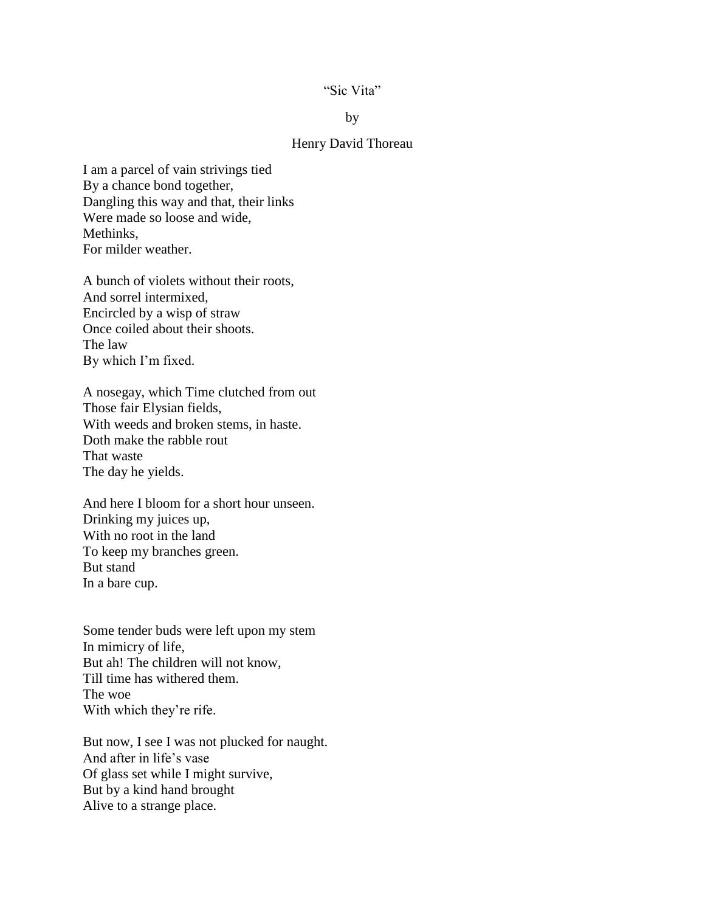#### "Sic Vita"

by

#### Henry David Thoreau

I am a parcel of vain strivings tied By a chance bond together, Dangling this way and that, their links Were made so loose and wide, Methinks, For milder weather.

A bunch of violets without their roots, And sorrel intermixed, Encircled by a wisp of straw Once coiled about their shoots. The law By which I'm fixed.

A nosegay, which Time clutched from out Those fair Elysian fields, With weeds and broken stems, in haste. Doth make the rabble rout That waste The day he yields.

And here I bloom for a short hour unseen. Drinking my juices up, With no root in the land To keep my branches green. But stand In a bare cup.

Some tender buds were left upon my stem In mimicry of life, But ah! The children will not know, Till time has withered them. The woe With which they're rife.

But now, I see I was not plucked for naught. And after in life's vase Of glass set while I might survive, But by a kind hand brought Alive to a strange place.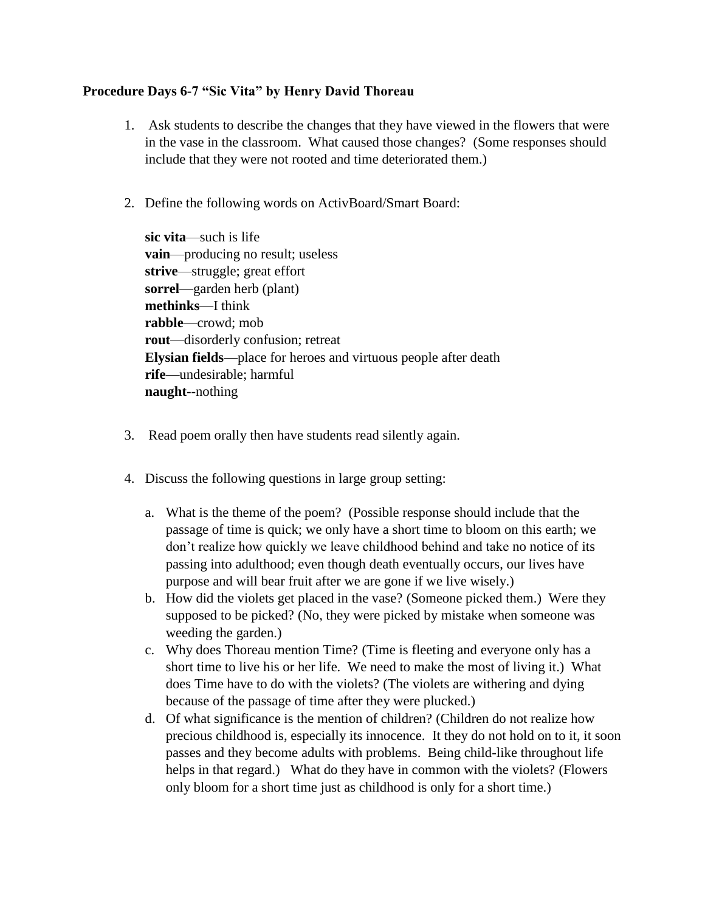## **Procedure Days 6-7 "Sic Vita" by Henry David Thoreau**

- 1. Ask students to describe the changes that they have viewed in the flowers that were in the vase in the classroom. What caused those changes? (Some responses should include that they were not rooted and time deteriorated them.)
- 2. Define the following words on ActivBoard/Smart Board:

**sic vita**—such is life **vain**—producing no result; useless **strive**—struggle; great effort **sorrel**—garden herb (plant) **methinks**—I think **rabble**—crowd; mob **rout**—disorderly confusion; retreat **Elysian fields**—place for heroes and virtuous people after death **rife**—undesirable; harmful **naught**--nothing

- 3. Read poem orally then have students read silently again.
- 4. Discuss the following questions in large group setting:
	- a. What is the theme of the poem? (Possible response should include that the passage of time is quick; we only have a short time to bloom on this earth; we don't realize how quickly we leave childhood behind and take no notice of its passing into adulthood; even though death eventually occurs, our lives have purpose and will bear fruit after we are gone if we live wisely.)
	- b. How did the violets get placed in the vase? (Someone picked them.) Were they supposed to be picked? (No, they were picked by mistake when someone was weeding the garden.)
	- c. Why does Thoreau mention Time? (Time is fleeting and everyone only has a short time to live his or her life. We need to make the most of living it.) What does Time have to do with the violets? (The violets are withering and dying because of the passage of time after they were plucked.)
	- d. Of what significance is the mention of children? (Children do not realize how precious childhood is, especially its innocence. It they do not hold on to it, it soon passes and they become adults with problems. Being child-like throughout life helps in that regard.) What do they have in common with the violets? (Flowers only bloom for a short time just as childhood is only for a short time.)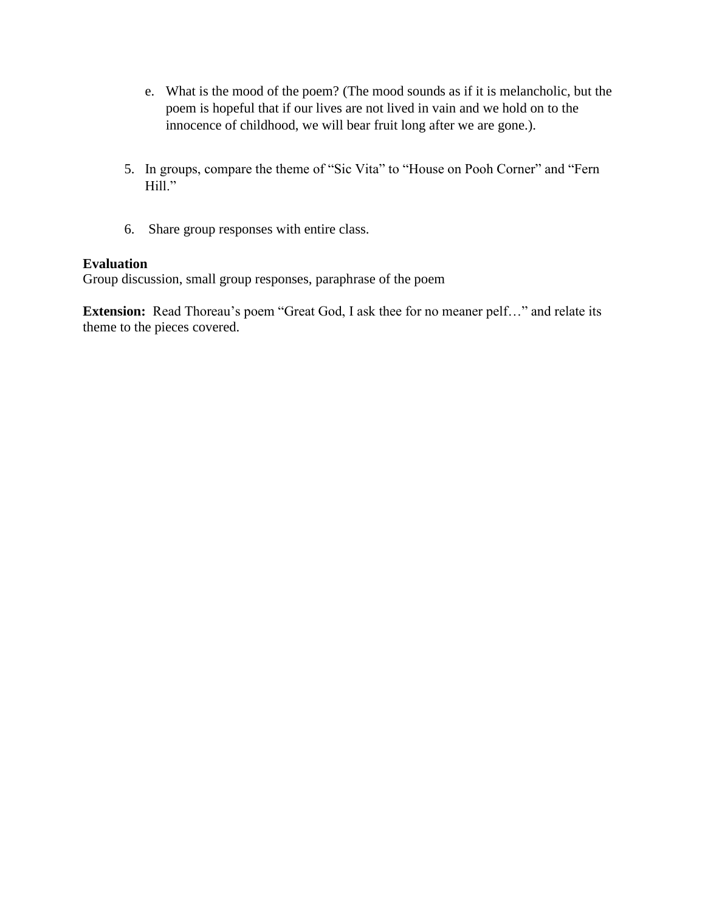- e. What is the mood of the poem? (The mood sounds as if it is melancholic, but the poem is hopeful that if our lives are not lived in vain and we hold on to the innocence of childhood, we will bear fruit long after we are gone.).
- 5. In groups, compare the theme of "Sic Vita" to "House on Pooh Corner" and "Fern Hill."
- 6. Share group responses with entire class.

#### **Evaluation**

Group discussion, small group responses, paraphrase of the poem

**Extension:** Read Thoreau's poem "Great God, I ask thee for no meaner pelf…" and relate its theme to the pieces covered.